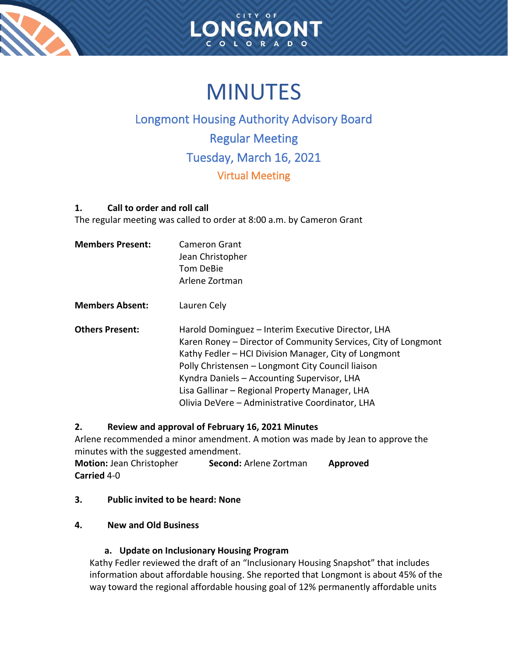



# MINUTES

# Longmont Housing Authority Advisory Board Regular Meeting Tuesday, March 16, 2021 Virtual Meeting

# **1. Call to order and roll call**

The regular meeting was called to order at 8:00 a.m. by Cameron Grant

| <b>Members Present:</b> | <b>Cameron Grant</b><br>Jean Christopher<br>Tom DeBie<br>Arlene Zortman                                                                                                                                                                                                                                                                                                                |
|-------------------------|----------------------------------------------------------------------------------------------------------------------------------------------------------------------------------------------------------------------------------------------------------------------------------------------------------------------------------------------------------------------------------------|
| <b>Members Absent:</b>  | Lauren Cely                                                                                                                                                                                                                                                                                                                                                                            |
| <b>Others Present:</b>  | Harold Dominguez – Interim Executive Director, LHA<br>Karen Roney - Director of Community Services, City of Longmont<br>Kathy Fedler – HCI Division Manager, City of Longmont<br>Polly Christensen - Longmont City Council liaison<br>Kyndra Daniels - Accounting Supervisor, LHA<br>Lisa Gallinar - Regional Property Manager, LHA<br>Olivia DeVere - Administrative Coordinator, LHA |

# **2. Review and approval of February 16, 2021 Minutes**

Arlene recommended a minor amendment. A motion was made by Jean to approve the minutes with the suggested amendment.

**Motion:** Jean Christopher **Second:** Arlene Zortman **Approved Carried** 4-0

# **3. Public invited to be heard: None**

# **4. New and Old Business**

# **a. Update on Inclusionary Housing Program**

Kathy Fedler reviewed the draft of an "Inclusionary Housing Snapshot" that includes information about affordable housing. She reported that Longmont is about 45% of the way toward the regional affordable housing goal of 12% permanently affordable units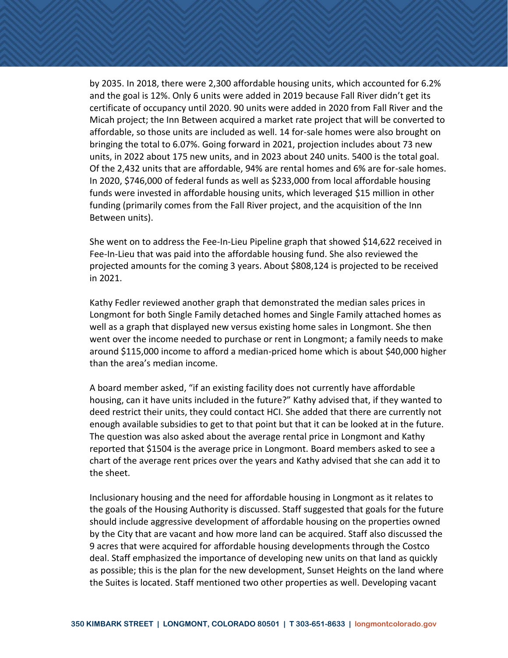by 2035. In 2018, there were 2,300 affordable housing units, which accounted for 6.2% and the goal is 12%. Only 6 units were added in 2019 because Fall River didn't get its certificate of occupancy until 2020. 90 units were added in 2020 from Fall River and the Micah project; the Inn Between acquired a market rate project that will be converted to affordable, so those units are included as well. 14 for-sale homes were also brought on bringing the total to 6.07%. Going forward in 2021, projection includes about 73 new units, in 2022 about 175 new units, and in 2023 about 240 units. 5400 is the total goal. Of the 2,432 units that are affordable, 94% are rental homes and 6% are for-sale homes. In 2020, \$746,000 of federal funds as well as \$233,000 from local affordable housing funds were invested in affordable housing units, which leveraged \$15 million in other funding (primarily comes from the Fall River project, and the acquisition of the Inn Between units).

She went on to address the Fee-In-Lieu Pipeline graph that showed \$14,622 received in Fee-In-Lieu that was paid into the affordable housing fund. She also reviewed the projected amounts for the coming 3 years. About \$808,124 is projected to be received in 2021.

Kathy Fedler reviewed another graph that demonstrated the median sales prices in Longmont for both Single Family detached homes and Single Family attached homes as well as a graph that displayed new versus existing home sales in Longmont. She then went over the income needed to purchase or rent in Longmont; a family needs to make around \$115,000 income to afford a median-priced home which is about \$40,000 higher than the area's median income.

A board member asked, "if an existing facility does not currently have affordable housing, can it have units included in the future?" Kathy advised that, if they wanted to deed restrict their units, they could contact HCI. She added that there are currently not enough available subsidies to get to that point but that it can be looked at in the future. The question was also asked about the average rental price in Longmont and Kathy reported that \$1504 is the average price in Longmont. Board members asked to see a chart of the average rent prices over the years and Kathy advised that she can add it to the sheet.

Inclusionary housing and the need for affordable housing in Longmont as it relates to the goals of the Housing Authority is discussed. Staff suggested that goals for the future should include aggressive development of affordable housing on the properties owned by the City that are vacant and how more land can be acquired. Staff also discussed the 9 acres that were acquired for affordable housing developments through the Costco deal. Staff emphasized the importance of developing new units on that land as quickly as possible; this is the plan for the new development, Sunset Heights on the land where the Suites is located. Staff mentioned two other properties as well. Developing vacant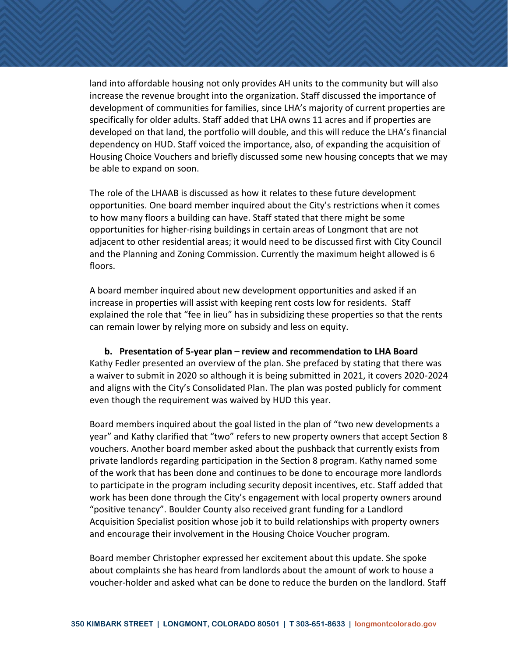land into affordable housing not only provides AH units to the community but will also increase the revenue brought into the organization. Staff discussed the importance of development of communities for families, since LHA's majority of current properties are specifically for older adults. Staff added that LHA owns 11 acres and if properties are developed on that land, the portfolio will double, and this will reduce the LHA's financial dependency on HUD. Staff voiced the importance, also, of expanding the acquisition of Housing Choice Vouchers and briefly discussed some new housing concepts that we may be able to expand on soon.

The role of the LHAAB is discussed as how it relates to these future development opportunities. One board member inquired about the City's restrictions when it comes to how many floors a building can have. Staff stated that there might be some opportunities for higher-rising buildings in certain areas of Longmont that are not adjacent to other residential areas; it would need to be discussed first with City Council and the Planning and Zoning Commission. Currently the maximum height allowed is 6 floors.

A board member inquired about new development opportunities and asked if an increase in properties will assist with keeping rent costs low for residents. Staff explained the role that "fee in lieu" has in subsidizing these properties so that the rents can remain lower by relying more on subsidy and less on equity.

**b. Presentation of 5-year plan – review and recommendation to LHA Board** Kathy Fedler presented an overview of the plan. She prefaced by stating that there was a waiver to submit in 2020 so although it is being submitted in 2021, it covers 2020-2024 and aligns with the City's Consolidated Plan. The plan was posted publicly for comment even though the requirement was waived by HUD this year.

Board members inquired about the goal listed in the plan of "two new developments a year" and Kathy clarified that "two" refers to new property owners that accept Section 8 vouchers. Another board member asked about the pushback that currently exists from private landlords regarding participation in the Section 8 program. Kathy named some of the work that has been done and continues to be done to encourage more landlords to participate in the program including security deposit incentives, etc. Staff added that work has been done through the City's engagement with local property owners around "positive tenancy". Boulder County also received grant funding for a Landlord Acquisition Specialist position whose job it to build relationships with property owners and encourage their involvement in the Housing Choice Voucher program.

Board member Christopher expressed her excitement about this update. She spoke about complaints she has heard from landlords about the amount of work to house a voucher-holder and asked what can be done to reduce the burden on the landlord. Staff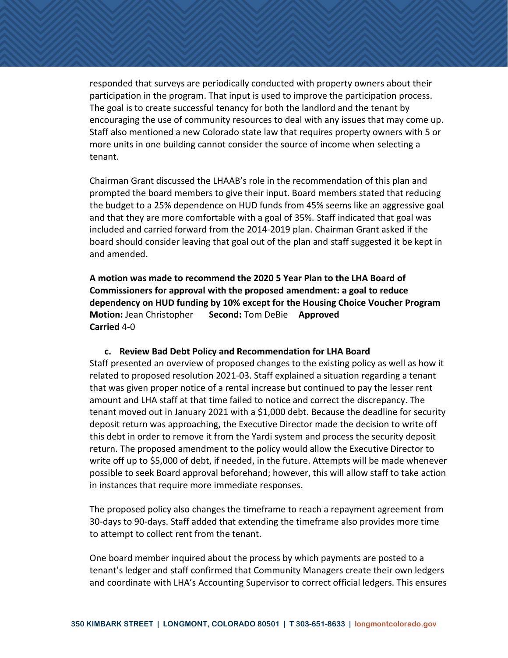responded that surveys are periodically conducted with property owners about their participation in the program. That input is used to improve the participation process. The goal is to create successful tenancy for both the landlord and the tenant by encouraging the use of community resources to deal with any issues that may come up. Staff also mentioned a new Colorado state law that requires property owners with 5 or more units in one building cannot consider the source of income when selecting a tenant.

Chairman Grant discussed the LHAAB's role in the recommendation of this plan and prompted the board members to give their input. Board members stated that reducing the budget to a 25% dependence on HUD funds from 45% seems like an aggressive goal and that they are more comfortable with a goal of 35%. Staff indicated that goal was included and carried forward from the 2014-2019 plan. Chairman Grant asked if the board should consider leaving that goal out of the plan and staff suggested it be kept in and amended.

**A motion was made to recommend the 2020 5 Year Plan to the LHA Board of Commissioners for approval with the proposed amendment: a goal to reduce dependency on HUD funding by 10% except for the Housing Choice Voucher Program Motion:** Jean Christopher **Second:** Tom DeBie **Approved Carried** 4-0

#### **c. Review Bad Debt Policy and Recommendation for LHA Board**

Staff presented an overview of proposed changes to the existing policy as well as how it related to proposed resolution 2021-03. Staff explained a situation regarding a tenant that was given proper notice of a rental increase but continued to pay the lesser rent amount and LHA staff at that time failed to notice and correct the discrepancy. The tenant moved out in January 2021 with a \$1,000 debt. Because the deadline for security deposit return was approaching, the Executive Director made the decision to write off this debt in order to remove it from the Yardi system and process the security deposit return. The proposed amendment to the policy would allow the Executive Director to write off up to \$5,000 of debt, if needed, in the future. Attempts will be made whenever possible to seek Board approval beforehand; however, this will allow staff to take action in instances that require more immediate responses.

The proposed policy also changes the timeframe to reach a repayment agreement from 30-days to 90-days. Staff added that extending the timeframe also provides more time to attempt to collect rent from the tenant.

One board member inquired about the process by which payments are posted to a tenant's ledger and staff confirmed that Community Managers create their own ledgers and coordinate with LHA's Accounting Supervisor to correct official ledgers. This ensures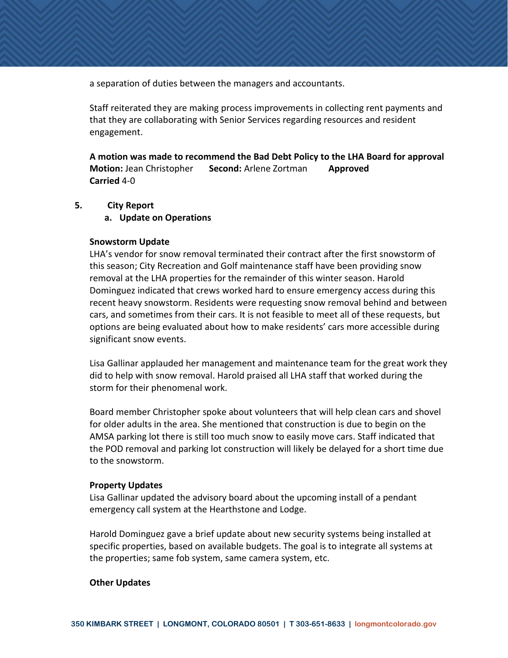a separation of duties between the managers and accountants.

Staff reiterated they are making process improvements in collecting rent payments and that they are collaborating with Senior Services regarding resources and resident engagement.

**A motion was made to recommend the Bad Debt Policy to the LHA Board for approval Motion:** Jean Christopher **Second:** Arlene Zortman **Approved Carried** 4-0

#### **5. City Report**

**a. Update on Operations**

#### **Snowstorm Update**

LHA's vendor for snow removal terminated their contract after the first snowstorm of this season; City Recreation and Golf maintenance staff have been providing snow removal at the LHA properties for the remainder of this winter season. Harold Dominguez indicated that crews worked hard to ensure emergency access during this recent heavy snowstorm. Residents were requesting snow removal behind and between cars, and sometimes from their cars. It is not feasible to meet all of these requests, but options are being evaluated about how to make residents' cars more accessible during significant snow events.

Lisa Gallinar applauded her management and maintenance team for the great work they did to help with snow removal. Harold praised all LHA staff that worked during the storm for their phenomenal work.

Board member Christopher spoke about volunteers that will help clean cars and shovel for older adults in the area. She mentioned that construction is due to begin on the AMSA parking lot there is still too much snow to easily move cars. Staff indicated that the POD removal and parking lot construction will likely be delayed for a short time due to the snowstorm.

#### **Property Updates**

Lisa Gallinar updated the advisory board about the upcoming install of a pendant emergency call system at the Hearthstone and Lodge.

Harold Dominguez gave a brief update about new security systems being installed at specific properties, based on available budgets. The goal is to integrate all systems at the properties; same fob system, same camera system, etc.

#### **Other Updates**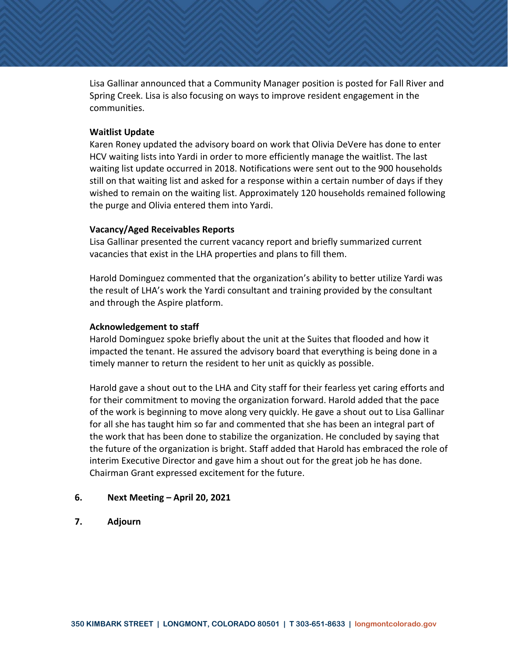Lisa Gallinar announced that a Community Manager position is posted for Fall River and Spring Creek. Lisa is also focusing on ways to improve resident engagement in the communities.

#### **Waitlist Update**

Karen Roney updated the advisory board on work that Olivia DeVere has done to enter HCV waiting lists into Yardi in order to more efficiently manage the waitlist. The last waiting list update occurred in 2018. Notifications were sent out to the 900 households still on that waiting list and asked for a response within a certain number of days if they wished to remain on the waiting list. Approximately 120 households remained following the purge and Olivia entered them into Yardi.

#### **Vacancy/Aged Receivables Reports**

Lisa Gallinar presented the current vacancy report and briefly summarized current vacancies that exist in the LHA properties and plans to fill them.

Harold Dominguez commented that the organization's ability to better utilize Yardi was the result of LHA's work the Yardi consultant and training provided by the consultant and through the Aspire platform.

#### **Acknowledgement to staff**

Harold Dominguez spoke briefly about the unit at the Suites that flooded and how it impacted the tenant. He assured the advisory board that everything is being done in a timely manner to return the resident to her unit as quickly as possible.

Harold gave a shout out to the LHA and City staff for their fearless yet caring efforts and for their commitment to moving the organization forward. Harold added that the pace of the work is beginning to move along very quickly. He gave a shout out to Lisa Gallinar for all she has taught him so far and commented that she has been an integral part of the work that has been done to stabilize the organization. He concluded by saying that the future of the organization is bright. Staff added that Harold has embraced the role of interim Executive Director and gave him a shout out for the great job he has done. Chairman Grant expressed excitement for the future.

#### **6. Next Meeting – April 20, 2021**

**7. Adjourn**